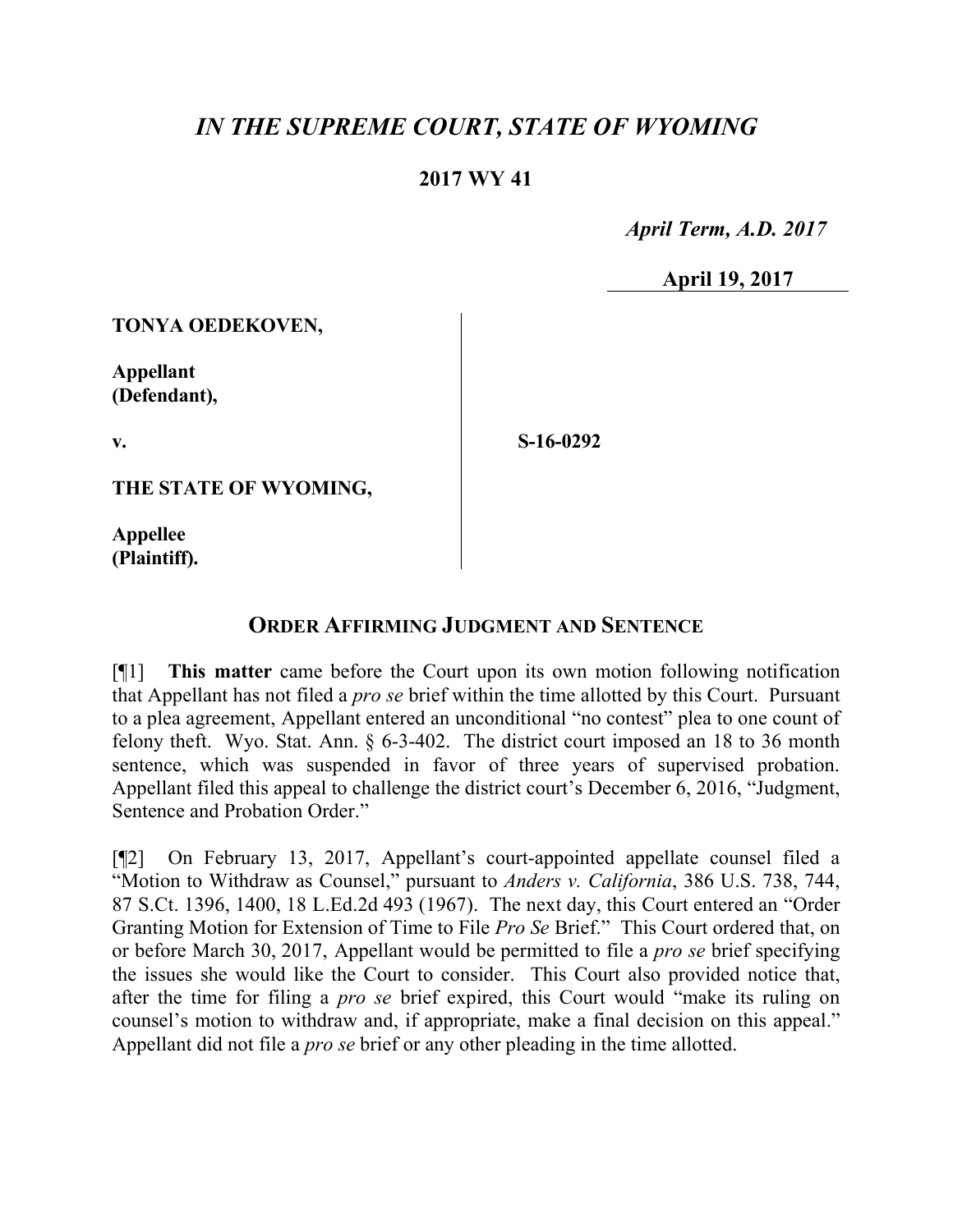## *IN THE SUPREME COURT, STATE OF WYOMING*

## **2017 WY 41**

 *April Term, A.D. 2017*

**April 19, 2017**

**TONYA OEDEKOVEN,**

**Appellant (Defendant),**

**v.**

**S-16-0292**

**THE STATE OF WYOMING,**

**Appellee (Plaintiff).**

## **ORDER AFFIRMING JUDGMENT AND SENTENCE**

[¶1] **This matter** came before the Court upon its own motion following notification that Appellant has not filed a *pro se* brief within the time allotted by this Court. Pursuant to a plea agreement, Appellant entered an unconditional "no contest" plea to one count of felony theft. Wyo. Stat. Ann. § 6-3-402. The district court imposed an 18 to 36 month sentence, which was suspended in favor of three years of supervised probation. Appellant filed this appeal to challenge the district court's December 6, 2016, "Judgment, Sentence and Probation Order."

[¶2] On February 13, 2017, Appellant's court-appointed appellate counsel filed a "Motion to Withdraw as Counsel," pursuant to *Anders v. California*, 386 U.S. 738, 744, 87 S.Ct. 1396, 1400, 18 L.Ed.2d 493 (1967). The next day, this Court entered an "Order Granting Motion for Extension of Time to File *Pro Se* Brief." This Court ordered that, on or before March 30, 2017, Appellant would be permitted to file a *pro se* brief specifying the issues she would like the Court to consider. This Court also provided notice that, after the time for filing a *pro se* brief expired, this Court would "make its ruling on counsel's motion to withdraw and, if appropriate, make a final decision on this appeal." Appellant did not file a *pro se* brief or any other pleading in the time allotted.